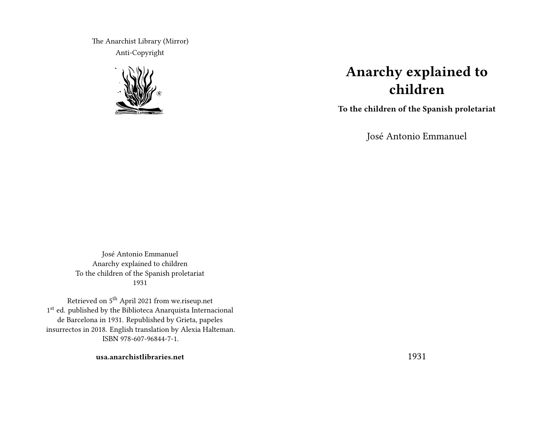The Anarchist Library (Mirror) Anti-Copyright



# **Anarchy explained to children**

**To the children of the Spanish proletariat**

José Antonio Emmanuel

José Antonio Emmanuel Anarchy explained to children To the children of the Spanish proletariat 1931

Retrieved on 5th April 2021 from we.riseup.net 1st ed. published by the Biblioteca Anarquista Internacional de Barcelona in 1931. Republished by Grieta, papeles insurrectos in 2018. English translation by Alexia Halteman. ISBN 978-607-96844-7-1.

**usa.anarchistlibraries.net**

1931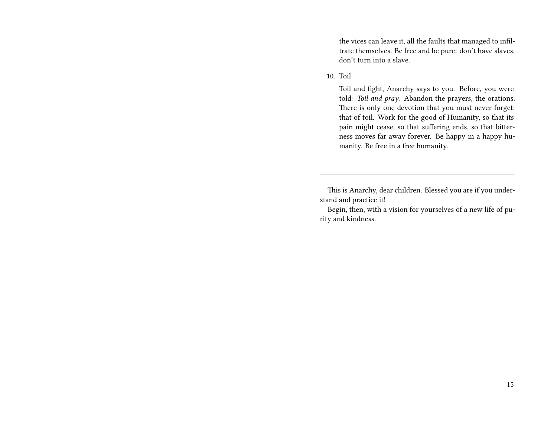the vices can leave it, all the faults that managed to infiltrate themselves. Be free and be pure: don't have slaves, don't turn into a slave.

#### 10. Toil

Toil and fight, Anarchy says to you. Before, you were told: *Toil and pray*. Abandon the prayers, the orations. There is only one devotion that you must never forget: that of toil. Work for the good of Humanity, so that its pain might cease, so that suffering ends, so that bitterness moves far away forever. Be happy in a happy humanity. Be free in a free humanity.

This is Anarchy, dear children. Blessed you are if you understand and practice it!

Begin, then, with a vision for yourselves of a new life of purity and kindness.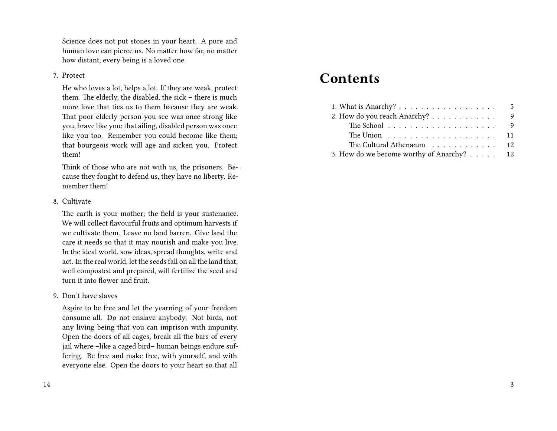Science does not put stones in your heart. A pure and human love can pierce us. No matter how far, no matter how distant, every being is a loved one.

#### 7. Protect

He who loves a lot, helps a lot. If they are weak, protect them. The elderly, the disabled, the sick – there is much more love that ties us to them because they are weak. That poor elderly person you see was once strong like you, brave like you; that ailing, disabled person was once like you too. Remember you could become like them; that bourgeois work will age and sicken you. Protect them!

Think of those who are not with us, the prisoners. Because they fought to defend us, they have no liberty. Remember them!

#### 8. Cultivate

The earth is your mother; the field is your sustenance. We will collect flavourful fruits and optimum harvests if we cultivate them. Leave no land barren. Give land the care it needs so that it may nourish and make you live. In the ideal world, sow ideas, spread thoughts, write and act. In the real world, let the seeds fall on all the land that, well composted and prepared, will fertilize the seed and turn it into flower and fruit.

#### 9. Don't have slaves

Aspire to be free and let the yearning of your freedom consume all. Do not enslave anybody. Not birds, not any living being that you can imprison with impunity. Open the doors of all cages, break all the bars of every jail where -like a caged bird- human beings endure suffering. Be free and make free, with yourself, and with everyone else. Open the doors to your heart so that all

## **Contents**

|                                                                 | 5              |
|-----------------------------------------------------------------|----------------|
| 2. How do you reach Anarchy?                                    | -9             |
| The School $\dots \dots \dots \dots \dots \dots \dots$          | $\overline{9}$ |
| The Union $\ldots \ldots \ldots \ldots \ldots \ldots \ldots 11$ |                |
| The Cultural Athenæum                                           | - 12           |
| 3. How do we become worthy of Anarchy? 12                       |                |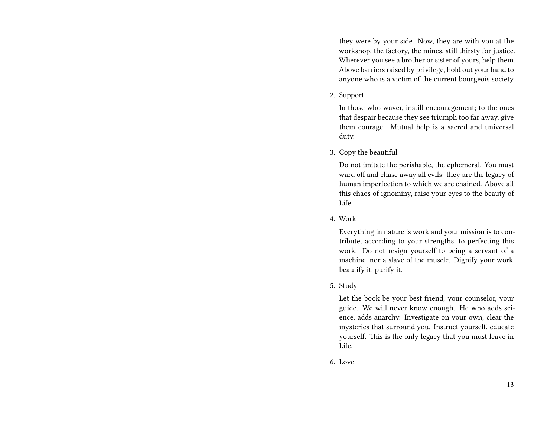they were by your side. Now, they are with you at the workshop, the factory, the mines, still thirsty for justice. Wherever you see a brother or sister of yours, help them. Above barriers raised by privilege, hold out your hand to anyone who is a victim of the current bourgeois society.

2. Support

In those who waver, instill encouragement; to the ones that despair because they see triumph too far away, give them courage. Mutual help is a sacred and universal duty.

3. Copy the beautiful

Do not imitate the perishable, the ephemeral. You must ward off and chase away all evils: they are the legacy of human imperfection to which we are chained. Above all this chaos of ignominy, raise your eyes to the beauty of Life.

4. Work

Everything in nature is work and your mission is to contribute, according to your strengths, to perfecting this work. Do not resign yourself to being a servant of a machine, nor a slave of the muscle. Dignify your work, beautify it, purify it.

5. Study

Let the book be your best friend, your counselor, your guide. We will never know enough. He who adds science, adds anarchy. Investigate on your own, clear the mysteries that surround you. Instruct yourself, educate yourself. This is the only legacy that you must leave in Life.

6. Love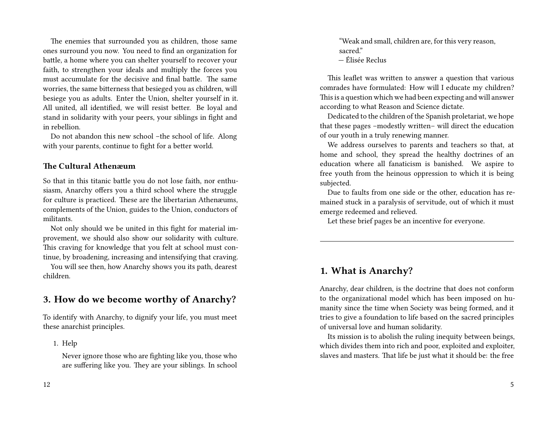The enemies that surrounded you as children, those same ones surround you now. You need to find an organization for battle, a home where you can shelter yourself to recover your faith, to strengthen your ideals and multiply the forces you must accumulate for the decisive and final battle. The same worries, the same bitterness that besieged you as children, will besiege you as adults. Enter the Union, shelter yourself in it. All united, all identified, we will resist better. Be loyal and stand in solidarity with your peers, your siblings in fight and in rebellion.

Do not abandon this new school –the school of life. Along with your parents, continue to fight for a better world.

#### **The Cultural Athenæum**

So that in this titanic battle you do not lose faith, nor enthusiasm, Anarchy offers you a third school where the struggle for culture is practiced. These are the libertarian Athenæums, complements of the Union, guides to the Union, conductors of militants.

Not only should we be united in this fight for material improvement, we should also show our solidarity with culture. This craving for knowledge that you felt at school must continue, by broadening, increasing and intensifying that craving.

You will see then, how Anarchy shows you its path, dearest children.

## **3. How do we become worthy of Anarchy?**

To identify with Anarchy, to dignify your life, you must meet these anarchist principles.

1. Help

Never ignore those who are fighting like you, those who are suffering like you. They are your siblings. In school

"Weak and small, children are, for this very reason, sacred." — Élisée Reclus

This leaflet was written to answer a question that various comrades have formulated: How will I educate my children? This is a question which we had been expecting and will answer according to what Reason and Science dictate.

Dedicated to the children of the Spanish proletariat, we hope that these pages –modestly written– will direct the education of our youth in a truly renewing manner.

We address ourselves to parents and teachers so that, at home and school, they spread the healthy doctrines of an education where all fanaticism is banished. We aspire to free youth from the heinous oppression to which it is being subjected.

Due to faults from one side or the other, education has remained stuck in a paralysis of servitude, out of which it must emerge redeemed and relieved.

Let these brief pages be an incentive for everyone.

### **1. What is Anarchy?**

Anarchy, dear children, is the doctrine that does not conform to the organizational model which has been imposed on humanity since the time when Society was being formed, and it tries to give a foundation to life based on the sacred principles of universal love and human solidarity.

Its mission is to abolish the ruling inequity between beings, which divides them into rich and poor, exploited and exploiter, slaves and masters. That life be just what it should be: the free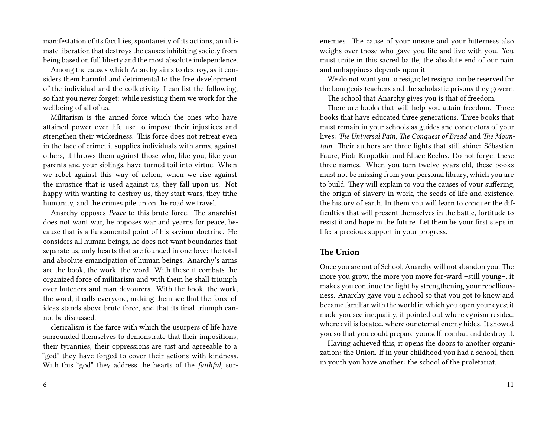manifestation of its faculties, spontaneity of its actions, an ultimate liberation that destroys the causes inhibiting society from being based on full liberty and the most absolute independence.

Among the causes which Anarchy aims to destroy, as it considers them harmful and detrimental to the free development of the individual and the collectivity, I can list the following, so that you never forget: while resisting them we work for the wellbeing of all of us.

Militarism is the armed force which the ones who have attained power over life use to impose their injustices and strengthen their wickedness. This force does not retreat even in the face of crime; it supplies individuals with arms, against others, it throws them against those who, like you, like your parents and your siblings, have turned toil into virtue. When we rebel against this way of action, when we rise against the injustice that is used against us, they fall upon us. Not happy with wanting to destroy us, they start wars, they tithe humanity, and the crimes pile up on the road we travel.

Anarchy opposes *Peace* to this brute force. The anarchist does not want war, he opposes war and yearns for peace, because that is a fundamental point of his saviour doctrine. He considers all human beings, he does not want boundaries that separate us, only hearts that are founded in one love: the total and absolute emancipation of human beings. Anarchy's arms are the book, the work, the word. With these it combats the organized force of militarism and with them he shall triumph over butchers and man devourers. With the book, the work, the word, it calls everyone, making them see that the force of ideas stands above brute force, and that its final triumph cannot be discussed.

clericalism is the farce with which the usurpers of life have surrounded themselves to demonstrate that their impositions, their tyrannies, their oppressions are just and agreeable to a "god" they have forged to cover their actions with kindness. With this "god" they address the hearts of the *faithful*, surenemies. The cause of your unease and your bitterness also weighs over those who gave you life and live with you. You must unite in this sacred battle, the absolute end of our pain and unhappiness depends upon it.

We do not want you to resign; let resignation be reserved for the bourgeois teachers and the scholastic prisons they govern.

The school that Anarchy gives you is that of freedom.

There are books that will help you attain freedom. Three books that have educated three generations. Three books that must remain in your schools as guides and conductors of your lives: *The Universal Pain*, *The Conquest of Bread* and *The Mountain*. Their authors are three lights that still shine: Sébastien Faure, Piotr Kropotkin and Élisée Reclus. Do not forget these three names. When you turn twelve years old, these books must not be missing from your personal library, which you are to build. They will explain to you the causes of your suffering, the origin of slavery in work, the seeds of life and existence, the history of earth. In them you will learn to conquer the difficulties that will present themselves in the battle, fortitude to resist it and hope in the future. Let them be your first steps in life: a precious support in your progress.

#### **The Union**

Once you are out of School, Anarchy will not abandon you. The more you grow, the more you move for-ward –still young–, it makes you continue the fight by strengthening your rebelliousness. Anarchy gave you a school so that you got to know and became familiar with the world in which you open your eyes; it made you see inequality, it pointed out where egoism resided, where evil is located, where our eternal enemy hides. It showed you so that you could prepare yourself, combat and destroy it.

Having achieved this, it opens the doors to another organization: the Union. If in your childhood you had a school, then in youth you have another: the school of the proletariat.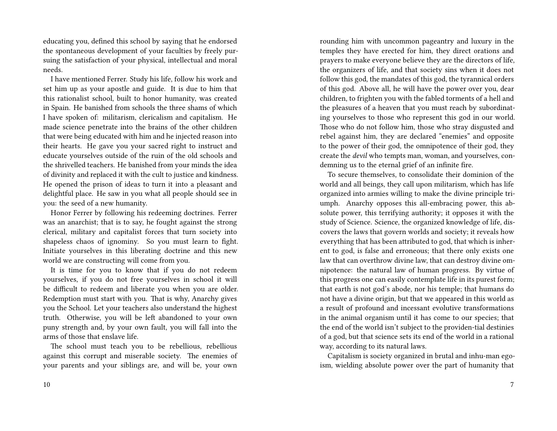educating you, defined this school by saying that he endorsed the spontaneous development of your faculties by freely pursuing the satisfaction of your physical, intellectual and moral needs.

I have mentioned Ferrer. Study his life, follow his work and set him up as your apostle and guide. It is due to him that this rationalist school, built to honor humanity, was created in Spain. He banished from schools the three shams of which I have spoken of: militarism, clericalism and capitalism. He made science penetrate into the brains of the other children that were being educated with him and he injected reason into their hearts. He gave you your sacred right to instruct and educate yourselves outside of the ruin of the old schools and the shrivelled teachers. He banished from your minds the idea of divinity and replaced it with the cult to justice and kindness. He opened the prison of ideas to turn it into a pleasant and delightful place. He saw in you what all people should see in you: the seed of a new humanity.

Honor Ferrer by following his redeeming doctrines. Ferrer was an anarchist; that is to say, he fought against the strong clerical, military and capitalist forces that turn society into shapeless chaos of ignominy. So you must learn to fight. Initiate yourselves in this liberating doctrine and this new world we are constructing will come from you.

It is time for you to know that if you do not redeem yourselves, if you do not free yourselves in school it will be difficult to redeem and liberate you when you are older. Redemption must start with you. That is why, Anarchy gives you the School. Let your teachers also understand the highest truth. Otherwise, you will be left abandoned to your own puny strength and, by your own fault, you will fall into the arms of those that enslave life.

The school must teach you to be rebellious, rebellious against this corrupt and miserable society. The enemies of your parents and your siblings are, and will be, your own

rounding him with uncommon pageantry and luxury in the temples they have erected for him, they direct orations and prayers to make everyone believe they are the directors of life, the organizers of life, and that society sins when it does not follow this god, the mandates of this god, the tyrannical orders of this god. Above all, he will have the power over you, dear children, to frighten you with the fabled torments of a hell and the pleasures of a heaven that you must reach by subordinating yourselves to those who represent this god in our world. Those who do not follow him, those who stray disgusted and rebel against him, they are declared "enemies" and opposite to the power of their god, the omnipotence of their god, they create the *devil* who tempts man, woman, and yourselves, condemning us to the eternal grief of an infinite fire.

To secure themselves, to consolidate their dominion of the world and all beings, they call upon militarism, which has life organized into armies willing to make the divine principle triumph. Anarchy opposes this all-embracing power, this absolute power, this terrifying authority; it opposes it with the study of Science. Science, the organized knowledge of life, discovers the laws that govern worlds and society; it reveals how everything that has been attributed to god, that which is inherent to god, is false and erroneous; that there only exists one law that can overthrow divine law, that can destroy divine omnipotence: the natural law of human progress. By virtue of this progress one can easily contemplate life in its purest form; that earth is not god's abode, nor his temple; that humans do not have a divine origin, but that we appeared in this world as a result of profound and incessant evolutive transformations in the animal organism until it has come to our species; that the end of the world isn't subject to the providen-tial destinies of a god, but that science sets its end of the world in a rational way, according to its natural laws.

Capitalism is society organized in brutal and inhu-man egoism, wielding absolute power over the part of humanity that